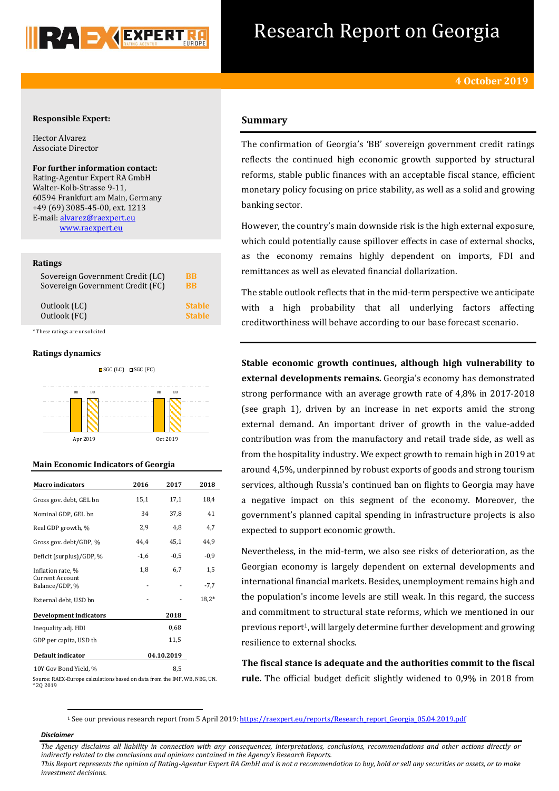

## Research Report on Georgia

#### **Responsible Expert:**

Hector Alvarez Associate Director

**For further information contact:** Rating-Agentur Expert RA GmbH Walter-Kolb-Strasse 9-11, 60594 Frankfurt am Main, Germany +49 (69) 3085-45-00, ext. 1213 E-mail[: alvarez@raexpert.eu](mailto:alvarez@raexpert.eu) [www.raexpert.eu](http://raexpert.eu/)

#### **Ratings**

| Sovereign Government Credit (LC) | BB            |
|----------------------------------|---------------|
| Sovereign Government Credit (FC) | <b>BB</b>     |
| Outlook (LC)                     | <b>Stable</b> |
| Outlook (FC)                     | <b>Stable</b> |

\* These ratings are unsolicited

#### **Ratings dynamics**



#### **Main Economic Indicators of Georgia**

| <b>Macro</b> indicators           | 2016   | 2017       | 2018    |
|-----------------------------------|--------|------------|---------|
| Gross gov. debt, GEL bn           | 15,1   | 17,1       | 18,4    |
| Nominal GDP, GEL bn               | 34     | 37,8       | 41      |
| Real GDP growth, %                | 2,9    | 4,8        | 4,7     |
| Gross gov. debt/GDP, %            | 44,4   | 45,1       | 44,9    |
| Deficit (surplus)/GDP, %          | $-1,6$ | $-0,5$     | $-0.9$  |
| Inflation rate, %                 | 1,8    | 6,7        | 1,5     |
| Current Account<br>Balance/GDP, % |        |            | $-7,7$  |
| External debt, USD bn             |        |            | $18,2*$ |
| Development indicators            |        | 2018       |         |
| Inequality adj. HDI               |        | 0,68       |         |
| GDP per capita, USD th            | 11,5   |            |         |
| Default indicator                 |        | 04.10.2019 |         |
| 10Y Gov Bond Yield, %             |        | 8,5        |         |

Source: RAEX-Europe calculations based on data from the IMF, WB, NBG, UN. \* 2Q 2019

### **Summary**

The confirmation of Georgia's 'BB' sovereign government credit ratings reflects the continued high economic growth supported by structural reforms, stable public finances with an acceptable fiscal stance, efficient monetary policy focusing on price stability, as well as a solid and growing banking sector.

However, the country's main downside risk is the high external exposure, which could potentially cause spillover effects in case of external shocks, as the economy remains highly dependent on imports, FDI and remittances as well as elevated financial dollarization.

The stable outlook reflects that in the mid-term perspective we anticipate with a high probability that all underlying factors affecting creditworthiness will behave according to our base forecast scenario.

**Stable economic growth continues, although high vulnerability to external developments remains.** Georgia's economy has demonstrated strong performance with an average growth rate of 4,8% in 2017-2018 (see graph 1), driven by an increase in net exports amid the strong external demand. An important driver of growth in the value-added contribution was from the manufactory and retail trade side, as well as from the hospitality industry. We expect growth to remain high in 2019 at around 4,5%, underpinned by robust exports of goods and strong tourism services, although Russia's continued ban on flights to Georgia may have a negative impact on this segment of the economy. Moreover, the government's planned capital spending in infrastructure projects is also expected to support economic growth.

Nevertheless, in the mid-term, we also see risks of deterioration, as the Georgian economy is largely dependent on external developments and international financial markets. Besides, unemployment remains high and the population's income levels are still weak. In this regard, the success and commitment to structural state reforms, which we mentioned in our previous report1, will largely determine further development and growing resilience to external shocks.

**The fiscal stance is adequate and the authorities commit to the fiscal rule.** The official budget deficit slightly widened to 0,9% in 2018 from

<sup>1</sup> See our previous research report from 5 April 2019: [https://raexpert.eu/reports/Research\\_report\\_Georgia\\_05.04.2019.pdf](https://raexpert.eu/reports/Research_report_Georgia_05.04.2019.pdf)

#### *Disclaimer*

1

*The Agency disclaims all liability in connection with any consequences, interpretations, conclusions, recommendations and other actions directly or indirectly related to the conclusions and opinions contained in the Agency's Research Reports. This Report represents the opinion of Rating-Agentur Expert RA GmbH and is not a recommendation to buy, hold or sell any securities or assets, or to make* 

*investment decisions.*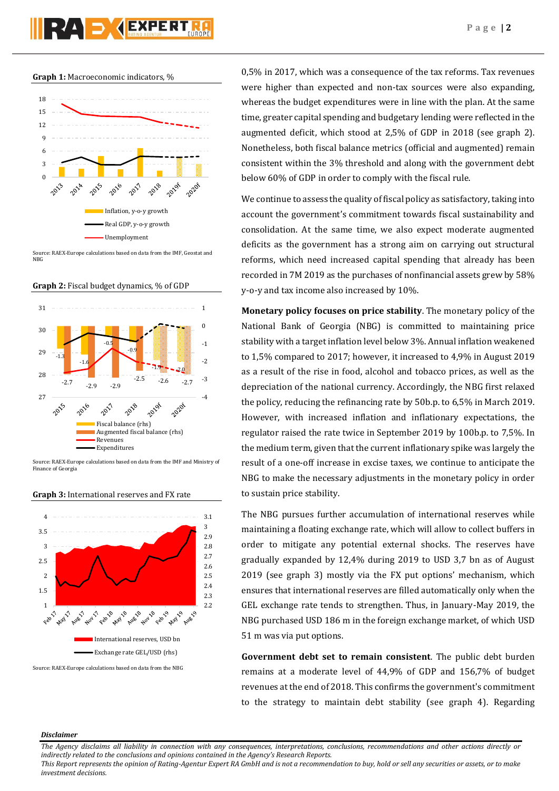**Graph 1:** Macroeconomic indicators, %



Source: RAEX-Europe calculations based on data from the IMF, Geostat and NBG

**Graph 2:** Fiscal budget dynamics, % of GDP



Source: RAEX-Europe calculations based on data from the IMF and Ministry of Finance of Georgia



#### **Graph 3:** International reserves and FX rate

Source: RAEX-Europe calculations based on data from the NBG

0,5% in 2017, which was a consequence of the tax reforms. Tax revenues were higher than expected and non-tax sources were also expanding, whereas the budget expenditures were in line with the plan. At the same time, greater capital spending and budgetary lending were reflected in the augmented deficit, which stood at 2,5% of GDP in 2018 (see graph 2). Nonetheless, both fiscal balance metrics (official and augmented) remain consistent within the 3% threshold and along with the government debt below 60% of GDP in order to comply with the fiscal rule.

We continue to assess the quality of fiscal policy as satisfactory, taking into account the government's commitment towards fiscal sustainability and consolidation. At the same time, we also expect moderate augmented deficits as the government has a strong aim on carrying out structural reforms, which need increased capital spending that already has been recorded in 7M 2019 as the purchases of nonfinancial assets grew by 58% y-o-y and tax income also increased by 10%.

**Monetary policy focuses on price stability**. The monetary policy of the National Bank of Georgia (NBG) is committed to maintaining price stability with a target inflation level below 3%. Annual inflation weakened to 1,5% compared to 2017; however, it increased to 4,9% in August 2019 as a result of the rise in food, alcohol and tobacco prices, as well as the depreciation of the national currency. Accordingly, the NBG first relaxed the policy, reducing the refinancing rate by 50b.p. to 6,5% in March 2019. However, with increased inflation and inflationary expectations, the regulator raised the rate twice in September 2019 by 100b.p. to 7,5%. In the medium term, given that the current inflationary spike was largely the result of a one-off increase in excise taxes, we continue to anticipate the NBG to make the necessary adjustments in the monetary policy in order to sustain price stability.

The NBG pursues further accumulation of international reserves while maintaining a floating exchange rate, which will allow to collect buffers in order to mitigate any potential external shocks. The reserves have gradually expanded by 12,4% during 2019 to USD 3,7 bn as of August 2019 (see graph 3) mostly via the FX put options' mechanism, which ensures that international reserves are filled automatically only when the GEL exchange rate tends to strengthen. Thus, in January-May 2019, the NBG purchased USD 186 m in the foreign exchange market, of which USD 51 m was via put options.

**Government debt set to remain consistent**. The public debt burden remains at a moderate level of 44,9% of GDP and 156,7% of budget revenues at the end of 2018. This confirms the government's commitment to the strategy to maintain debt stability (see graph 4). Regarding

#### *Disclaimer*

*The Agency disclaims all liability in connection with any consequences, interpretations, conclusions, recommendations and other actions directly or indirectly related to the conclusions and opinions contained in the Agency's Research Reports.*

*This Report represents the opinion of Rating-Agentur Expert RA GmbH and is not a recommendation to buy, hold or sell any securities or assets, or to make investment decisions.*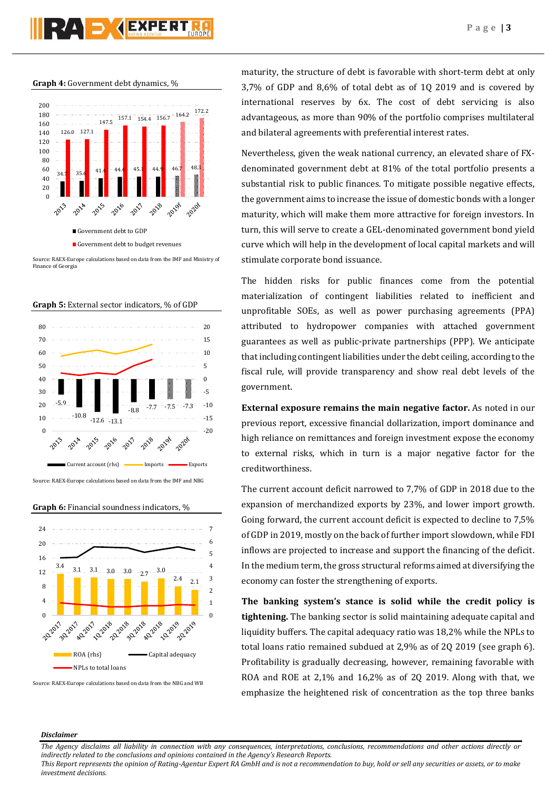# **PZA S GEXPERT**

**Graph 4:** Government debt dynamics, %



Source: RAEX-Europe calculations based on data from the IMF and Ministry of Finance of Georgia





Source: RAEX-Europe calculations based on data from the IMF and NBG





Source: RAEX-Europe calculations based on data from the NBG and WB

maturity, the structure of debt is favorable with short-term debt at only 3,7% of GDP and 8,6% of total debt as of 1Q 2019 and is covered by international reserves by 6x. The cost of debt servicing is also advantageous, as more than 90% of the portfolio comprises multilateral and bilateral agreements with preferential interest rates.

Nevertheless, given the weak national currency, an elevated share of FXdenominated government debt at 81% of the total portfolio presents a substantial risk to public finances. To mitigate possible negative effects, the government aims to increase the issue of domestic bonds with a longer maturity, which will make them more attractive for foreign investors. In turn, this will serve to create a GEL-denominated government bond yield curve which will help in the development of local capital markets and will stimulate corporate bond issuance.

The hidden risks for public finances come from the potential materialization of contingent liabilities related to inefficient and unprofitable SOEs, as well as power purchasing agreements (PPA) attributed to hydropower companies with attached government guarantees as well as public-private partnerships (PPP). We anticipate that including contingent liabilities under the debt ceiling, according to the fiscal rule, will provide transparency and show real debt levels of the government.

**External exposure remains the main negative factor.** As noted in our previous report, excessive financial dollarization, import dominance and high reliance on remittances and foreign investment expose the economy to external risks, which in turn is a major negative factor for the creditworthiness.

The current account deficit narrowed to 7,7% of GDP in 2018 due to the expansion of merchandized exports by 23%, and lower import growth. Going forward, the current account deficit is expected to decline to 7,5% of GDP in 2019, mostly on the back of further import slowdown, while FDI inflows are projected to increase and support the financing of the deficit. In the medium term, the gross structural reforms aimed at diversifying the economy can foster the strengthening of exports.

**The banking system's stance is solid while the credit policy is tightening.** The banking sector is solid maintaining adequate capital and liquidity buffers. The capital adequacy ratio was 18,2% while the NPLs to total loans ratio remained subdued at 2,9% as of 2Q 2019 (see graph 6). Profitability is gradually decreasing, however, remaining favorable with ROA and ROE at 2,1% and 16,2% as of 2Q 2019. Along with that, we emphasize the heightened risk of concentration as the top three banks

#### *Disclaimer*

*This Report represents the opinion of Rating-Agentur Expert RA GmbH and is not a recommendation to buy, hold or sell any securities or assets, or to make investment decisions.*

*The Agency disclaims all liability in connection with any consequences, interpretations, conclusions, recommendations and other actions directly or indirectly related to the conclusions and opinions contained in the Agency's Research Reports.*